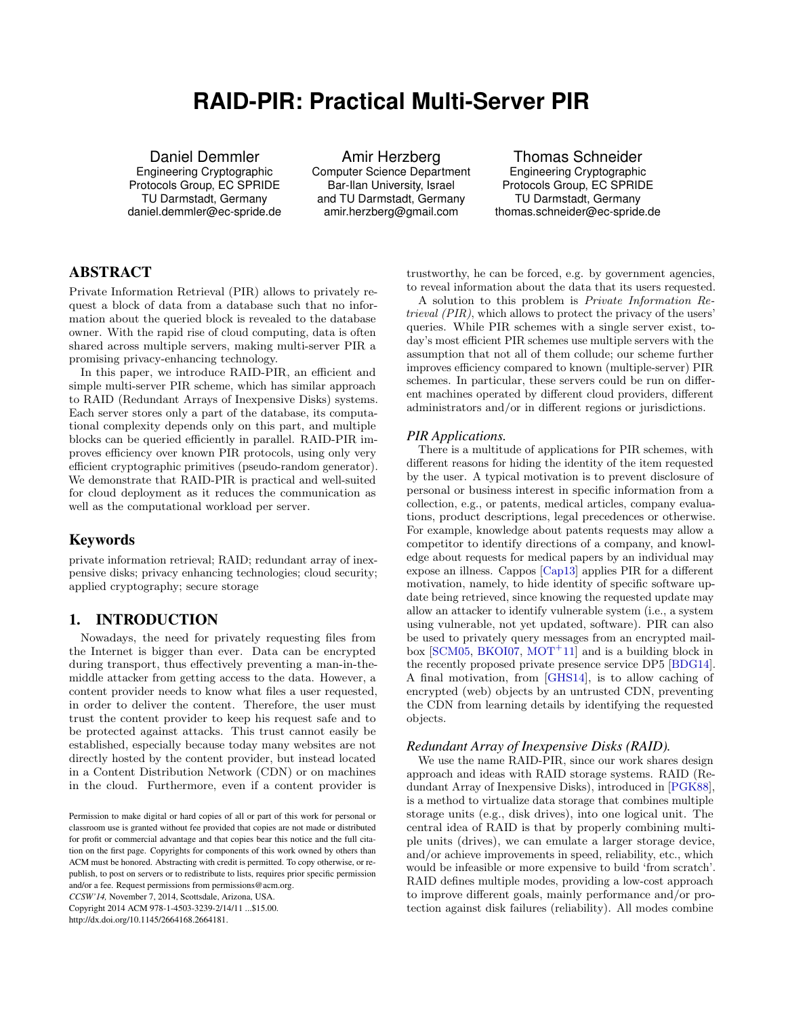# **RAID-PIR: Practical Multi-Server PIR**

Daniel Demmler Engineering Cryptographic Protocols Group, EC SPRIDE TU Darmstadt, Germany daniel.demmler@ec-spride.de

Amir Herzberg Computer Science Department Bar-Ilan University, Israel and TU Darmstadt, Germany amir.herzberg@gmail.com

Thomas Schneider Engineering Cryptographic Protocols Group, EC SPRIDE TU Darmstadt, Germany thomas.schneider@ec-spride.de

# ABSTRACT

Private Information Retrieval (PIR) allows to privately request a block of data from a database such that no information about the queried block is revealed to the database owner. With the rapid rise of cloud computing, data is often shared across multiple servers, making multi-server PIR a promising privacy-enhancing technology.

In this paper, we introduce RAID-PIR, an efficient and simple multi-server PIR scheme, which has similar approach to RAID (Redundant Arrays of Inexpensive Disks) systems. Each server stores only a part of the database, its computational complexity depends only on this part, and multiple blocks can be queried efficiently in parallel. RAID-PIR improves efficiency over known PIR protocols, using only very efficient cryptographic primitives (pseudo-random generator). We demonstrate that RAID-PIR is practical and well-suited for cloud deployment as it reduces the communication as well as the computational workload per server.

# Keywords

private information retrieval; RAID; redundant array of inexpensive disks; privacy enhancing technologies; cloud security; applied cryptography; secure storage

# 1. INTRODUCTION

Nowadays, the need for privately requesting files from the Internet is bigger than ever. Data can be encrypted during transport, thus effectively preventing a man-in-themiddle attacker from getting access to the data. However, a content provider needs to know what files a user requested, in order to deliver the content. Therefore, the user must trust the content provider to keep his request safe and to be protected against attacks. This trust cannot easily be established, especially because today many websites are not directly hosted by the content provider, but instead located in a Content Distribution Network (CDN) or on machines in the cloud. Furthermore, even if a content provider is

*CCSW'14,* November 7, 2014, Scottsdale, Arizona, USA. Copyright 2014 ACM 978-1-4503-3239-2/14/11 ...\$15.00. http://dx.doi.org/10.1145/2664168.2664181.

trustworthy, he can be forced, e.g. by government agencies, to reveal information about the data that its users requested.

A solution to this problem is Private Information Retrieval (PIR), which allows to protect the privacy of the users' queries. While PIR schemes with a single server exist, today's most efficient PIR schemes use multiple servers with the assumption that not all of them collude; our scheme further improves efficiency compared to known (multiple-server) PIR schemes. In particular, these servers could be run on different machines operated by different cloud providers, different administrators and/or in different regions or jurisdictions.

### *PIR Applications.*

There is a multitude of applications for PIR schemes, with different reasons for hiding the identity of the item requested by the user. A typical motivation is to prevent disclosure of personal or business interest in specific information from a collection, e.g., or patents, medical articles, company evaluations, product descriptions, legal precedences or otherwise. For example, knowledge about patents requests may allow a competitor to identify directions of a company, and knowledge about requests for medical papers by an individual may expose an illness. Cappos [\[Cap13\]](#page-10-0) applies PIR for a different motivation, namely, to hide identity of specific software update being retrieved, since knowing the requested update may allow an attacker to identify vulnerable system (i.e., a system using vulnerable, not yet updated, software). PIR can also be used to privately query messages from an encrypted mailbox  $[SCM05, BKO107, MOT<sup>+</sup>11]$  $[SCM05, BKO107, MOT<sup>+</sup>11]$  $[SCM05, BKO107, MOT<sup>+</sup>11]$  $[SCM05, BKO107, MOT<sup>+</sup>11]$  and is a building block in the recently proposed private presence service DP5 [\[BDG14\]](#page-10-3). A final motivation, from [\[GHS14\]](#page-10-4), is to allow caching of encrypted (web) objects by an untrusted CDN, preventing the CDN from learning details by identifying the requested objects.

### *Redundant Array of Inexpensive Disks (RAID).*

We use the name RAID-PIR, since our work shares design approach and ideas with RAID storage systems. RAID (Redundant Array of Inexpensive Disks), introduced in [\[PGK88\]](#page-11-1), is a method to virtualize data storage that combines multiple storage units (e.g., disk drives), into one logical unit. The central idea of RAID is that by properly combining multiple units (drives), we can emulate a larger storage device, and/or achieve improvements in speed, reliability, etc., which would be infeasible or more expensive to build 'from scratch'. RAID defines multiple modes, providing a low-cost approach to improve different goals, mainly performance and/or protection against disk failures (reliability). All modes combine

Permission to make digital or hard copies of all or part of this work for personal or classroom use is granted without fee provided that copies are not made or distributed for profit or commercial advantage and that copies bear this notice and the full citation on the first page. Copyrights for components of this work owned by others than ACM must be honored. Abstracting with credit is permitted. To copy otherwise, or republish, to post on servers or to redistribute to lists, requires prior specific permission and/or a fee. Request permissions from permissions@acm.org.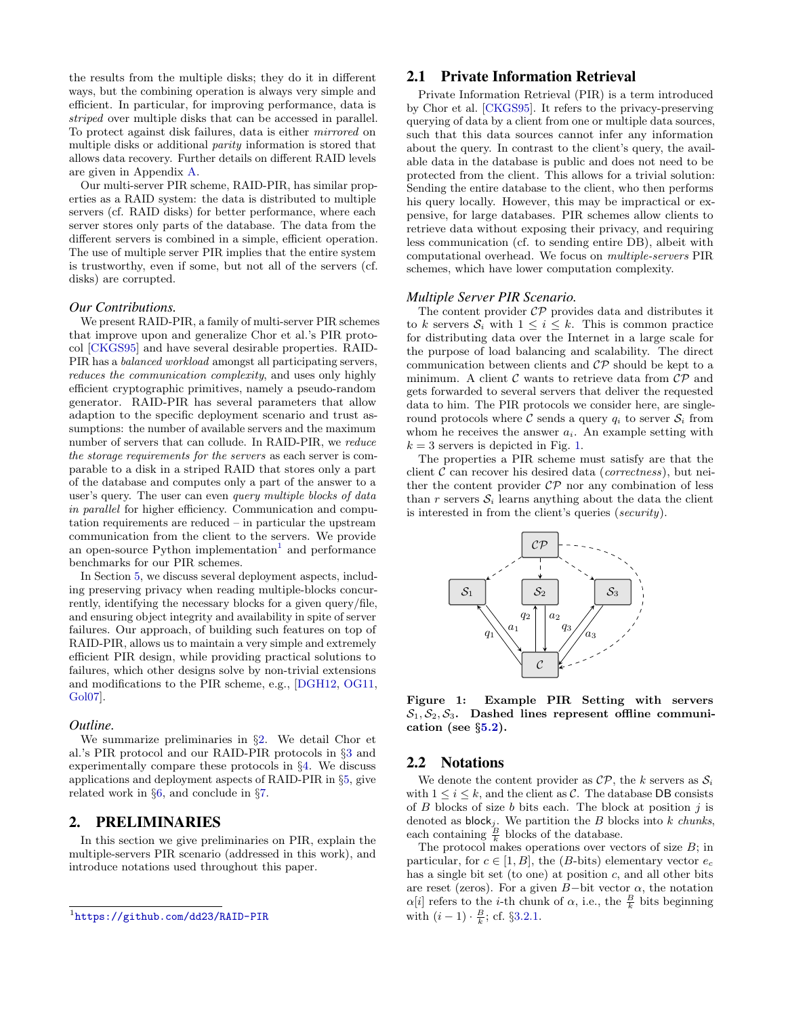the results from the multiple disks; they do it in different ways, but the combining operation is always very simple and efficient. In particular, for improving performance, data is striped over multiple disks that can be accessed in parallel. To protect against disk failures, data is either mirrored on multiple disks or additional parity information is stored that allows data recovery. Further details on different RAID levels are given in Appendix [A.](#page-11-2)

Our multi-server PIR scheme, RAID-PIR, has similar properties as a RAID system: the data is distributed to multiple servers (cf. RAID disks) for better performance, where each server stores only parts of the database. The data from the different servers is combined in a simple, efficient operation. The use of multiple server PIR implies that the entire system is trustworthy, even if some, but not all of the servers (cf. disks) are corrupted.

#### *Our Contributions.*

We present RAID-PIR, a family of multi-server PIR schemes that improve upon and generalize Chor et al.'s PIR protocol [\[CKGS95\]](#page-10-5) and have several desirable properties. RAID-PIR has a balanced workload amongst all participating servers, reduces the communication complexity, and uses only highly efficient cryptographic primitives, namely a pseudo-random generator. RAID-PIR has several parameters that allow adaption to the specific deployment scenario and trust assumptions: the number of available servers and the maximum number of servers that can collude. In RAID-PIR, we reduce the storage requirements for the servers as each server is comparable to a disk in a striped RAID that stores only a part of the database and computes only a part of the answer to a user's query. The user can even *query multiple blocks of data* in parallel for higher efficiency. Communication and computation requirements are reduced – in particular the upstream communication from the client to the servers. We provide an open-source Python implementation<sup>[1](#page-1-0)</sup> and performance benchmarks for our PIR schemes.

In Section [5,](#page-6-0) we discuss several deployment aspects, including preserving privacy when reading multiple-blocks concurrently, identifying the necessary blocks for a given query/file, and ensuring object integrity and availability in spite of server failures. Our approach, of building such features on top of RAID-PIR, allows us to maintain a very simple and extremely efficient PIR design, while providing practical solutions to failures, which other designs solve by non-trivial extensions and modifications to the PIR scheme, e.g., [\[DGH12,](#page-10-6) [OG11,](#page-10-7) [Gol07\]](#page-10-8).

#### *Outline.*

We summarize preliminaries in §[2.](#page-1-1) We detail Chor et al.'s PIR protocol and our RAID-PIR protocols in §[3](#page-2-0) and experimentally compare these protocols in §[4.](#page-5-0) We discuss applications and deployment aspects of RAID-PIR in §[5,](#page-6-0) give related work in §[6,](#page-9-0) and conclude in §[7.](#page-9-1)

# <span id="page-1-1"></span>2. PRELIMINARIES

In this section we give preliminaries on PIR, explain the multiple-servers PIR scenario (addressed in this work), and introduce notations used throughout this paper.

# 2.1 Private Information Retrieval

Private Information Retrieval (PIR) is a term introduced by Chor et al. [\[CKGS95\]](#page-10-5). It refers to the privacy-preserving querying of data by a client from one or multiple data sources, such that this data sources cannot infer any information about the query. In contrast to the client's query, the available data in the database is public and does not need to be protected from the client. This allows for a trivial solution: Sending the entire database to the client, who then performs his query locally. However, this may be impractical or expensive, for large databases. PIR schemes allow clients to retrieve data without exposing their privacy, and requiring less communication (cf. to sending entire DB), albeit with computational overhead. We focus on multiple-servers PIR schemes, which have lower computation complexity.

### *Multiple Server PIR Scenario.*

The content provider  $\mathcal{CP}$  provides data and distributes it to k servers  $S_i$  with  $1 \leq i \leq k$ . This is common practice for distributing data over the Internet in a large scale for the purpose of load balancing and scalability. The direct communication between clients and  $\mathcal{CP}$  should be kept to a minimum. A client  $\mathcal C$  wants to retrieve data from  $\mathcal{CP}$  and gets forwarded to several servers that deliver the requested data to him. The PIR protocols we consider here, are singleround protocols where C sends a query  $q_i$  to server  $S_i$  from whom he receives the answer  $a_i$ . An example setting with  $k = 3$  servers is depicted in Fig. [1.](#page-1-2)

The properties a PIR scheme must satisfy are that the client  $\mathcal C$  can recover his desired data (*correctness*), but neither the content provider  $\mathcal{CP}$  nor any combination of less than r servers  $S_i$  learns anything about the data the client is interested in from the client's queries (security).

<span id="page-1-2"></span>

Figure 1: Example PIR Setting with servers  $S_1, S_2, S_3$ . Dashed lines represent offline communication (see §[5.2\)](#page-8-0).

# <span id="page-1-3"></span>2.2 Notations

We denote the content provider as  $\mathcal{CP}$ , the k servers as  $\mathcal{S}_i$ with  $1 \leq i \leq k$ , and the client as C. The database DB consists of  $B$  blocks of size  $b$  bits each. The block at position  $j$  is denoted as block<sub>j</sub>. We partition the B blocks into k chunks, each containing  $\frac{B}{k}$  blocks of the database.

The protocol makes operations over vectors of size  $B$ ; in particular, for  $c \in [1, B]$ , the (B-bits) elementary vector  $e_c$ has a single bit set (to one) at position  $c$ , and all other bits are reset (zeros). For a given  $B-$ bit vector  $\alpha$ , the notation  $\alpha[i]$  refers to the *i*-th chunk of  $\alpha$ , i.e., the  $\frac{B}{k}$  bits beginning with  $(i - 1) \cdot \frac{B}{k}$ ; cf. §[3.2.1.](#page-2-1)

<span id="page-1-0"></span><sup>1</sup> <https://github.com/dd23/RAID-PIR>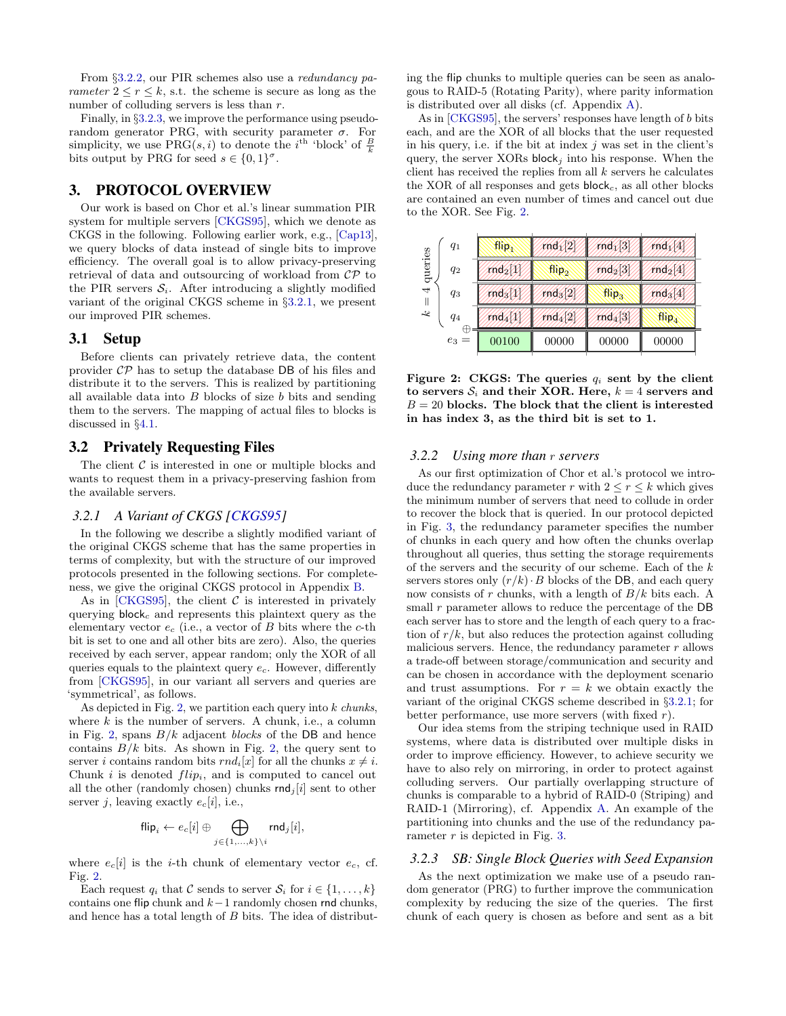From §[3.2.2,](#page-2-2) our PIR schemes also use a redundancy parameter  $2 \le r \le k$ , s.t. the scheme is secure as long as the number of colluding servers is less than r.

Finally, in §[3.2.3,](#page-2-3) we improve the performance using pseudorandom generator PRG, with security parameter  $\sigma$ . For simplicity, we use PRG $(s, i)$  to denote the *i*<sup>th</sup> 'block' of  $\frac{B}{k}$ bits output by PRG for seed  $s \in \{0,1\}^{\sigma}$ .

# <span id="page-2-0"></span>3. PROTOCOL OVERVIEW

Our work is based on Chor et al.'s linear summation PIR system for multiple servers [\[CKGS95\]](#page-10-5), which we denote as CKGS in the following. Following earlier work, e.g., [\[Cap13\]](#page-10-0), we query blocks of data instead of single bits to improve efficiency. The overall goal is to allow privacy-preserving retrieval of data and outsourcing of workload from CP to the PIR servers  $S_i$ . After introducing a slightly modified variant of the original CKGS scheme in §[3.2.1,](#page-2-1) we present our improved PIR schemes.

## 3.1 Setup

Before clients can privately retrieve data, the content provider  $\mathcal{CP}$  has to setup the database DB of his files and distribute it to the servers. This is realized by partitioning all available data into  $B$  blocks of size  $b$  bits and sending them to the servers. The mapping of actual files to blocks is discussed in §[4.1.](#page-5-1)

# <span id="page-2-5"></span>3.2 Privately Requesting Files

The client  $\mathcal C$  is interested in one or multiple blocks and wants to request them in a privacy-preserving fashion from the available servers.

## <span id="page-2-1"></span>*3.2.1 A Variant of CKGS [\[CKGS95\]](#page-10-5)*

In the following we describe a slightly modified variant of the original CKGS scheme that has the same properties in terms of complexity, but with the structure of our improved protocols presented in the following sections. For completeness, we give the original CKGS protocol in Appendix [B.](#page-11-3)

As in  $[CKGS95]$ , the client  $C$  is interested in privately querying  $block_c$  and represents this plaintext query as the elementary vector  $e_c$  (i.e., a vector of  $B$  bits where the  $c$ -th bit is set to one and all other bits are zero). Also, the queries received by each server, appear random; only the XOR of all queries equals to the plaintext query  $e_c$ . However, differently from [\[CKGS95\]](#page-10-5), in our variant all servers and queries are 'symmetrical', as follows.

As depicted in Fig. [2,](#page-2-4) we partition each query into  $k$  chunks, where  $k$  is the number of servers. A chunk, i.e., a column in Fig. [2,](#page-2-4) spans  $B/k$  adjacent blocks of the DB and hence contains  $B/k$  bits. As shown in Fig. [2,](#page-2-4) the query sent to server i contains random bits  $rnd_i[x]$  for all the chunks  $x \neq i$ . Chunk i is denoted  $flip_i$ , and is computed to cancel out all the other (randomly chosen) chunks  $\text{rnd}_i[i]$  sent to other server j, leaving exactly  $e_c[i]$ , i.e.,

$$
\mathsf{flip}_i \leftarrow e_c[i] \oplus \bigoplus_{j \in \{1, ..., k\} \setminus i} \mathsf{rnd}_j[i],
$$

where  $e_c[i]$  is the *i*-th chunk of elementary vector  $e_c$ , cf. Fig. [2.](#page-2-4)

Each request  $q_i$  that C sends to server  $S_i$  for  $i \in \{1, \ldots, k\}$ contains one flip chunk and  $k-1$  randomly chosen rnd chunks, and hence has a total length of B bits. The idea of distributing the flip chunks to multiple queries can be seen as analogous to RAID-5 (Rotating Parity), where parity information is distributed over all disks (cf. Appendix [A\)](#page-11-2).

As in [\[CKGS95\]](#page-10-5), the servers' responses have length of b bits each, and are the XOR of all blocks that the user requested in his query, i.e. if the bit at index  $j$  was set in the client's query, the server XORs block<sub>i</sub> into his response. When the client has received the replies from all  $k$  servers he calculates the XOR of all responses and gets  $block_c$ , as all other blocks are contained an even number of times and cancel out due to the XOR. See Fig. [2.](#page-2-4)

 $\mathcal{L}_{\mathcal{A}}$ 

<span id="page-2-4"></span>

|         | $q_1$   | 狗佛     | (00/2)       | (00/3)        | rnd (14             |
|---------|---------|--------|--------------|---------------|---------------------|
| queries | $q_2$   | xnessx | 神吟           | (100)         | rnd <sub>2</sub> /4 |
| 4       | $q_3$   | mdsli  | $rad_{32}$   | <b>Aut</b>    | $r_0d_3$ 4          |
| چ       | $q_4$   | mdall  | <b>FROAD</b> | <b>YNG SA</b> | 神経                  |
|         | $e_3 =$ | 00100  | 00000        | 00000         | 00000               |

÷

Figure 2: CKGS: The queries  $q_i$  sent by the client to servers  $S_i$  and their XOR. Here,  $k = 4$  servers and  $B = 20$  blocks. The block that the client is interested in has index 3, as the third bit is set to 1.

### <span id="page-2-2"></span>*3.2.2 Using more than* r *servers*

As our first optimization of Chor et al.'s protocol we introduce the redundancy parameter r with  $2 \le r \le k$  which gives the minimum number of servers that need to collude in order to recover the block that is queried. In our protocol depicted in Fig. [3,](#page-3-0) the redundancy parameter specifies the number of chunks in each query and how often the chunks overlap throughout all queries, thus setting the storage requirements of the servers and the security of our scheme. Each of the k servers stores only  $(r/k) \cdot B$  blocks of the DB, and each query now consists of r chunks, with a length of  $B/k$  bits each. A small  $r$  parameter allows to reduce the percentage of the DB each server has to store and the length of each query to a fraction of  $r/k$ , but also reduces the protection against colluding malicious servers. Hence, the redundancy parameter  $r$  allows a trade-off between storage/communication and security and can be chosen in accordance with the deployment scenario and trust assumptions. For  $r = k$  we obtain exactly the variant of the original CKGS scheme described in §[3.2.1;](#page-2-1) for better performance, use more servers (with fixed  $r$ ).

Our idea stems from the striping technique used in RAID systems, where data is distributed over multiple disks in order to improve efficiency. However, to achieve security we have to also rely on mirroring, in order to protect against colluding servers. Our partially overlapping structure of chunks is comparable to a hybrid of RAID-0 (Striping) and RAID-1 (Mirroring), cf. Appendix [A.](#page-11-2) An example of the partitioning into chunks and the use of the redundancy parameter  $r$  is depicted in Fig. [3.](#page-3-0)

#### <span id="page-2-3"></span>*3.2.3 SB: Single Block Queries with Seed Expansion*

As the next optimization we make use of a pseudo random generator (PRG) to further improve the communication complexity by reducing the size of the queries. The first chunk of each query is chosen as before and sent as a bit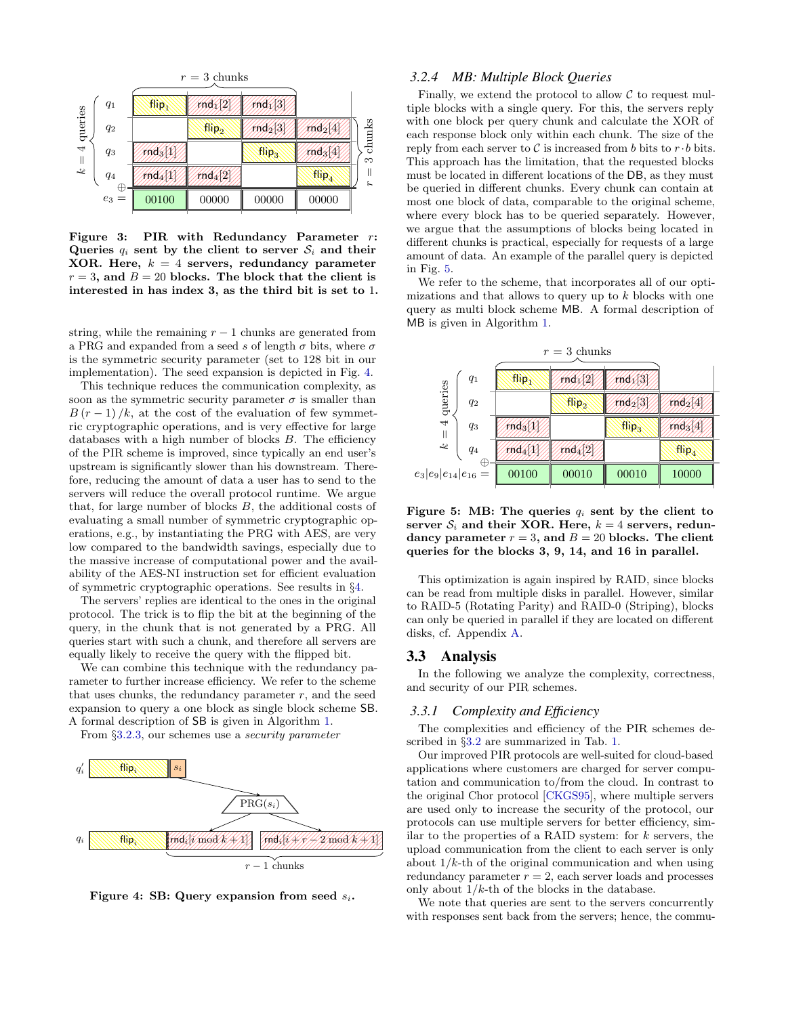<span id="page-3-0"></span>

Figure 3: PIR with Redundancy Parameter r: Queries  $q_i$  sent by the client to server  $S_i$  and their XOR. Here,  $k = 4$  servers, redundancy parameter  $r = 3$ , and  $B = 20$  blocks. The block that the client is interested in has index 3, as the third bit is set to 1.

string, while the remaining  $r - 1$  chunks are generated from a PRG and expanded from a seed s of length  $\sigma$  bits, where  $\sigma$ is the symmetric security parameter (set to 128 bit in our implementation). The seed expansion is depicted in Fig. [4.](#page-3-1)

This technique reduces the communication complexity, as soon as the symmetric security parameter  $\sigma$  is smaller than  $B(r-1)/k$ , at the cost of the evaluation of few symmetric cryptographic operations, and is very effective for large databases with a high number of blocks  $B$ . The efficiency of the PIR scheme is improved, since typically an end user's upstream is significantly slower than his downstream. Therefore, reducing the amount of data a user has to send to the servers will reduce the overall protocol runtime. We argue that, for large number of blocks  $B$ , the additional costs of evaluating a small number of symmetric cryptographic operations, e.g., by instantiating the PRG with AES, are very low compared to the bandwidth savings, especially due to the massive increase of computational power and the availability of the AES-NI instruction set for efficient evaluation of symmetric cryptographic operations. See results in §[4.](#page-5-0)

The servers' replies are identical to the ones in the original protocol. The trick is to flip the bit at the beginning of the query, in the chunk that is not generated by a PRG. All queries start with such a chunk, and therefore all servers are equally likely to receive the query with the flipped bit.

We can combine this technique with the redundancy parameter to further increase efficiency. We refer to the scheme that uses chunks, the redundancy parameter  $r$ , and the seed expansion to query a one block as single block scheme SB. A formal description of SB is given in Algorithm [1.](#page-4-0)

From §[3.2.3,](#page-2-3) our schemes use a security parameter

<span id="page-3-1"></span>



### <span id="page-3-3"></span>*3.2.4 MB: Multiple Block Queries*

Finally, we extend the protocol to allow  $\mathcal C$  to request multiple blocks with a single query. For this, the servers reply with one block per query chunk and calculate the XOR of each response block only within each chunk. The size of the reply from each server to  $C$  is increased from b bits to  $r \cdot b$  bits. This approach has the limitation, that the requested blocks must be located in different locations of the DB, as they must be queried in different chunks. Every chunk can contain at most one block of data, comparable to the original scheme, where every block has to be queried separately. However, we argue that the assumptions of blocks being located in different chunks is practical, especially for requests of a large amount of data. An example of the parallel query is depicted in Fig. [5.](#page-3-2)

We refer to the scheme, that incorporates all of our optimizations and that allows to query up to  $k$  blocks with one query as multi block scheme MB. A formal description of MB is given in Algorithm [1.](#page-4-0)

<span id="page-3-2"></span>

|                          |       | $r=3$ chunks |                |        |              |
|--------------------------|-------|--------------|----------------|--------|--------------|
|                          | $q_1$ | 例形           | rad/2          | maxs   |              |
| 4 queries                | $q_2$ |              | 网质             | rnd2/3 | rndzA        |
| ∥                        | $q_3$ | mdsA         |                | 新闻     | <b>rnd34</b> |
| Υ                        | $q_4$ | rndssx       | <b>rnd (2)</b> |        | 細度           |
| $e_3 e_9 e_{14} e_{16}=$ |       | 00100        | 00010          | 00010  | 10000        |

Figure 5: MB: The queries  $q_i$  sent by the client to server  $S_i$  and their XOR. Here,  $k = 4$  servers, redundancy parameter  $r = 3$ , and  $B = 20$  blocks. The client queries for the blocks 3, 9, 14, and 16 in parallel.

This optimization is again inspired by RAID, since blocks can be read from multiple disks in parallel. However, similar to RAID-5 (Rotating Parity) and RAID-0 (Striping), blocks can only be queried in parallel if they are located on different disks, cf. Appendix [A.](#page-11-2)

## 3.3 Analysis

In the following we analyze the complexity, correctness, and security of our PIR schemes.

#### *3.3.1 Complexity and Efficiency*

The complexities and efficiency of the PIR schemes described in §[3.2](#page-2-5) are summarized in Tab. [1.](#page-4-1)

Our improved PIR protocols are well-suited for cloud-based applications where customers are charged for server computation and communication to/from the cloud. In contrast to the original Chor protocol [\[CKGS95\]](#page-10-5), where multiple servers are used only to increase the security of the protocol, our protocols can use multiple servers for better efficiency, similar to the properties of a RAID system: for  $k$  servers, the upload communication from the client to each server is only about  $1/k$ -th of the original communication and when using redundancy parameter  $r = 2$ , each server loads and processes only about  $1/k$ -th of the blocks in the database.

We note that queries are sent to the servers concurrently with responses sent back from the servers; hence, the commu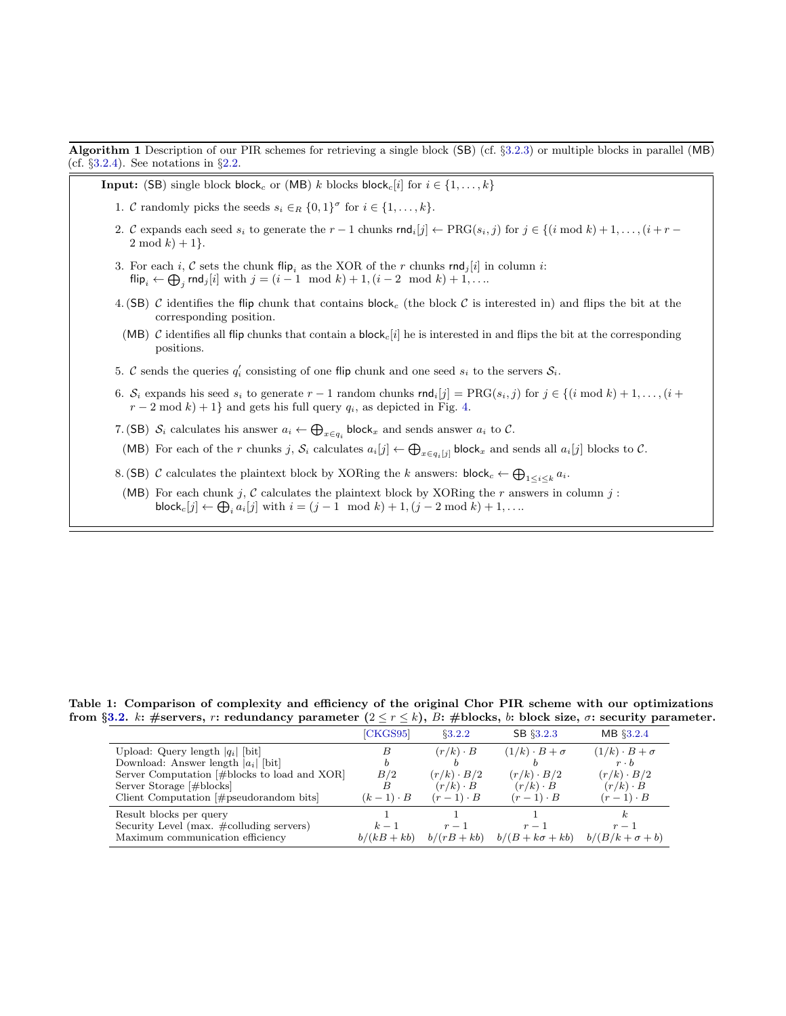<span id="page-4-0"></span>Algorithm 1 Description of our PIR schemes for retrieving a single block (SB) (cf. §[3.2.3\)](#page-2-3) or multiple blocks in parallel (MB) (cf.  $\S 3.2.4$ ). See notations in  $\S 2.2$ .

**Input:** (SB) single block block<sub>c</sub> or (MB) k blocks block<sub>c</sub>[i] for  $i \in \{1, ..., k\}$ 1. C randomly picks the seeds  $s_i \in_R \{0,1\}^\sigma$  for  $i \in \{1,\ldots,k\}$ . 2. C expands each seed  $s_i$  to generate the  $r-1$  chunks  $\text{rnd}_i[j] \leftarrow \text{PRG}(s_i, j)$  for  $j \in \{(i \text{ mod } k) + 1, \ldots, (i + r - 1)\}$  $2 \mod k + 1$ . 3. For each i, C sets the chunk flip<sub>i</sub> as the XOR of the r chunks  $\text{rnd}_j[i]$  in column i:  $\textsf{flip}_i \leftarrow \bigoplus_j \textsf{rnd}_j[i] \text{ with } j = (i-1 \mod k) + 1, (i-2 \mod k) + 1, \ldots.$ 4. (SB) C identifies the flip chunk that contains block<sub>c</sub> (the block C is interested in) and flips the bit at the corresponding position. (MB) C identifies all flip chunks that contain a block<sub>c</sub>[i] he is interested in and flips the bit at the corresponding positions. 5. C sends the queries  $q_i'$  consisting of one flip chunk and one seed  $s_i$  to the servers  $S_i$ . 6. S<sub>i</sub> expands his seed s<sub>i</sub> to generate  $r-1$  random chunks  $\text{rnd}_i[j] = \text{PRG}(s_i, j)$  for  $j \in \{(i \mod k) + 1, \ldots, (i + j)$  $r-2 \mod k + 1$  and gets his full query  $q_i$ , as depicted in Fig. [4.](#page-3-1) 7. (SB)  $S_i$  calculates his answer  $a_i \leftarrow \bigoplus_{x \in q_i} \mathsf{block}_x$  and sends answer  $a_i$  to  $\mathcal{C}$ . (MB) For each of the r chunks j,  $S_i$  calculates  $a_i[j] \leftarrow \bigoplus_{x \in q_i[j]} \text{block}_x$  and sends all  $a_i[j]$  blocks to C. 8. (SB) C calculates the plaintext block by XORing the k answers: block<sub>c</sub>  $\leftarrow \bigoplus_{1 \leq i \leq k} a_i$ . (MB) For each chunk j,  $C$  calculates the plaintext block by XORing the  $r$  answers in column j: block<sub>c</sub>[j]  $\leftarrow \bigoplus_i a_i[j]$  with  $i = (j - 1 \mod k) + 1, (j - 2 \mod k) + 1, \dots$ 

<span id="page-4-1"></span>Table 1: Comparison of complexity and efficiency of the original Chor PIR scheme with our optimizations from §[3.2.](#page-2-5) k: #servers, r: redundancy parameter  $(2 \le r \le k)$ , B: #blocks, b: block size,  $\sigma$ : security parameter.

|                                                   | CKGS95          | §3.2.2            | SB §3.2.3                                                   | $MB$ $\S3.2.4$           |
|---------------------------------------------------|-----------------|-------------------|-------------------------------------------------------------|--------------------------|
| Upload: Query length $ q_i $ [bit]                | В               | $(r/k) \cdot B$   | $(1/k) \cdot B + \sigma$                                    | $(1/k) \cdot B + \sigma$ |
| Download: Answer length $ a_i $ [bit]             | b               |                   |                                                             | $r \cdot h$              |
| Server Computation [#blocks to load and XOR]      | B/2             | $(r/k) \cdot B/2$ | $(r/k) \cdot B/2$                                           | $(r/k) \cdot B/2$        |
| Server Storage [#blocks]                          | B               | $(r/k) \cdot B$   | $(r/k) \cdot B$                                             | $(r/k) \cdot B$          |
| Client Computation $[\text{\#pseudorandom bits}]$ | $(k-1) \cdot B$ | $(r-1) \cdot B$   | $(r-1) \cdot B$                                             | $(r-1)\cdot B$           |
| Result blocks per query                           |                 |                   |                                                             |                          |
| Security Level (max. #colluding servers)          | $k-1$           | $r-1$             | $r-1$                                                       | $r-1$                    |
| Maximum communication efficiency                  | $b/(kB+kb)$     |                   | $b/(rB + kb)$ $b/(B + k\sigma + kb)$ $b/(B/k + \sigma + b)$ |                          |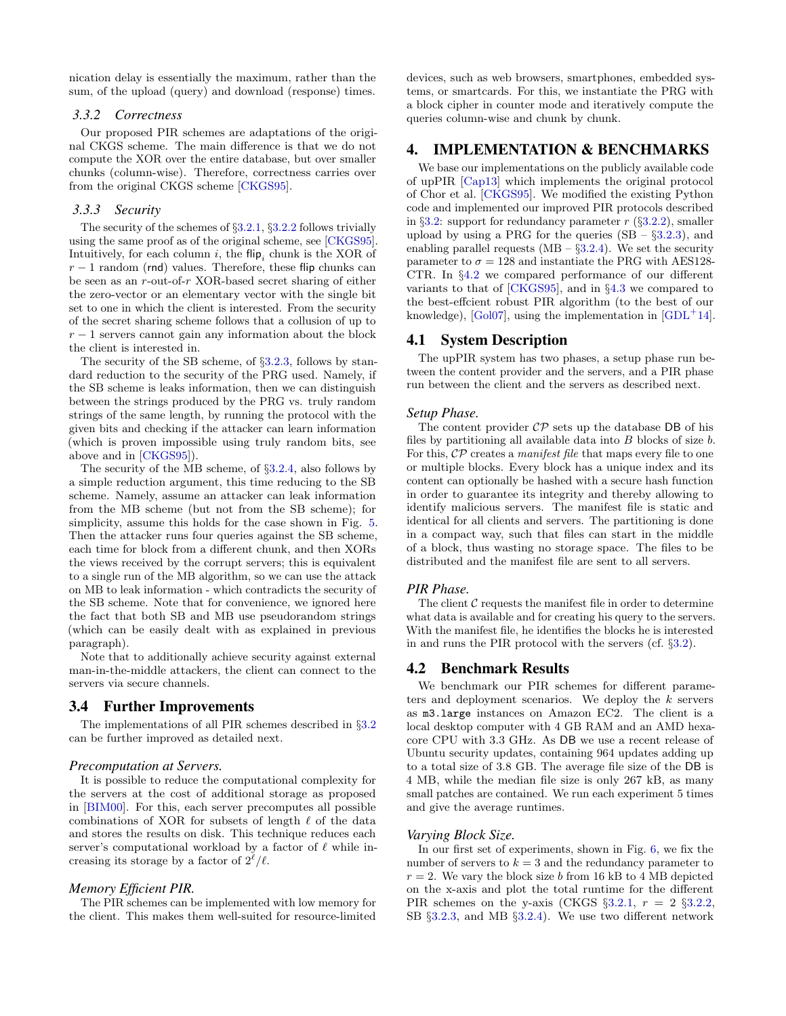nication delay is essentially the maximum, rather than the sum, of the upload (query) and download (response) times.

### *3.3.2 Correctness*

Our proposed PIR schemes are adaptations of the original CKGS scheme. The main difference is that we do not compute the XOR over the entire database, but over smaller chunks (column-wise). Therefore, correctness carries over from the original CKGS scheme [\[CKGS95\]](#page-10-5).

### *3.3.3 Security*

The security of the schemes of §[3.2.1,](#page-2-1) §[3.2.2](#page-2-2) follows trivially using the same proof as of the original scheme, see [\[CKGS95\]](#page-10-5). Intuitively, for each column  $i$ , the flip<sub>i</sub> chunk is the XOR of  $r - 1$  random (rnd) values. Therefore, these flip chunks can be seen as an  $r$ -out-of- $r$  XOR-based secret sharing of either the zero-vector or an elementary vector with the single bit set to one in which the client is interested. From the security of the secret sharing scheme follows that a collusion of up to  $r - 1$  servers cannot gain any information about the block the client is interested in.

The security of the SB scheme, of §[3.2.3,](#page-2-3) follows by standard reduction to the security of the PRG used. Namely, if the SB scheme is leaks information, then we can distinguish between the strings produced by the PRG vs. truly random strings of the same length, by running the protocol with the given bits and checking if the attacker can learn information (which is proven impossible using truly random bits, see above and in [\[CKGS95\]](#page-10-5)).

The security of the MB scheme, of §[3.2.4,](#page-3-3) also follows by a simple reduction argument, this time reducing to the SB scheme. Namely, assume an attacker can leak information from the MB scheme (but not from the SB scheme); for simplicity, assume this holds for the case shown in Fig.  $5$ . Then the attacker runs four queries against the SB scheme, each time for block from a different chunk, and then XORs the views received by the corrupt servers; this is equivalent to a single run of the MB algorithm, so we can use the attack on MB to leak information - which contradicts the security of the SB scheme. Note that for convenience, we ignored here the fact that both SB and MB use pseudorandom strings (which can be easily dealt with as explained in previous paragraph).

Note that to additionally achieve security against external man-in-the-middle attackers, the client can connect to the servers via secure channels.

### 3.4 Further Improvements

The implementations of all PIR schemes described in §[3.2](#page-2-5) can be further improved as detailed next.

#### *Precomputation at Servers.*

It is possible to reduce the computational complexity for the servers at the cost of additional storage as proposed in [\[BIM00\]](#page-10-9). For this, each server precomputes all possible combinations of XOR for subsets of length  $\ell$  of the data and stores the results on disk. This technique reduces each server's computational workload by a factor of  $\ell$  while increasing its storage by a factor of  $2^{\ell}/\ell$ .

#### *Memory Efficient PIR.*

The PIR schemes can be implemented with low memory for the client. This makes them well-suited for resource-limited devices, such as web browsers, smartphones, embedded systems, or smartcards. For this, we instantiate the PRG with a block cipher in counter mode and iteratively compute the queries column-wise and chunk by chunk.

# <span id="page-5-0"></span>4. IMPLEMENTATION & BENCHMARKS

We base our implementations on the publicly available code of upPIR [\[Cap13\]](#page-10-0) which implements the original protocol of Chor et al. [\[CKGS95\]](#page-10-5). We modified the existing Python code and implemented our improved PIR protocols described in §[3.2:](#page-2-5) support for redundancy parameter  $r$  (§[3.2.2\)](#page-2-2), smaller upload by using a PRG for the queries  $(SB - \S3.2.3)$  $(SB - \S3.2.3)$ , and enabling parallel requests ( $MB - \S 3.2.4$ ). We set the security parameter to  $\sigma = 128$  and instantiate the PRG with AES128-CTR. In §[4.2](#page-5-2) we compared performance of our different variants to that of [\[CKGS95\]](#page-10-5), and in §[4.3](#page-6-1) we compared to the best-effcient robust PIR algorithm (to the best of our knowledge), [\[Gol07\]](#page-10-8), using the implementation in  $[GDL<sup>+</sup>14]$  $[GDL<sup>+</sup>14]$ .

# 4.1 System Description

The upPIR system has two phases, a setup phase run between the content provider and the servers, and a PIR phase run between the client and the servers as described next.

#### <span id="page-5-1"></span>*Setup Phase.*

The content provider  $\mathcal{CP}$  sets up the database DB of his files by partitioning all available data into  $B$  blocks of size  $b$ . For this,  $\mathcal{CP}$  creates a *manifest file* that maps every file to one or multiple blocks. Every block has a unique index and its content can optionally be hashed with a secure hash function in order to guarantee its integrity and thereby allowing to identify malicious servers. The manifest file is static and identical for all clients and servers. The partitioning is done in a compact way, such that files can start in the middle of a block, thus wasting no storage space. The files to be distributed and the manifest file are sent to all servers.

### *PIR Phase.*

The client  $\mathcal C$  requests the manifest file in order to determine what data is available and for creating his query to the servers. With the manifest file, he identifies the blocks he is interested in and runs the PIR protocol with the servers (cf. §[3.2\)](#page-2-5).

# <span id="page-5-2"></span>4.2 Benchmark Results

We benchmark our PIR schemes for different parameters and deployment scenarios. We deploy the  $k$  servers as m3.large instances on Amazon EC2. The client is a local desktop computer with 4 GB RAM and an AMD hexacore CPU with 3.3 GHz. As DB we use a recent release of Ubuntu security updates, containing 964 updates adding up to a total size of 3.8 GB. The average file size of the DB is 4 MB, while the median file size is only 267 kB, as many small patches are contained. We run each experiment 5 times and give the average runtimes.

#### *Varying Block Size.*

In our first set of experiments, shown in Fig. [6,](#page-7-0) we fix the number of servers to  $k = 3$  and the redundancy parameter to  $r = 2$ . We vary the block size b from 16 kB to 4 MB depicted on the x-axis and plot the total runtime for the different PIR schemes on the y-axis (CKGS  $\S 3.2.1, r = 2 \S 3.2.2$  $\S 3.2.1, r = 2 \S 3.2.2$  $\S 3.2.1, r = 2 \S 3.2.2$ , SB §[3.2.3,](#page-2-3) and MB §[3.2.4\)](#page-3-3). We use two different network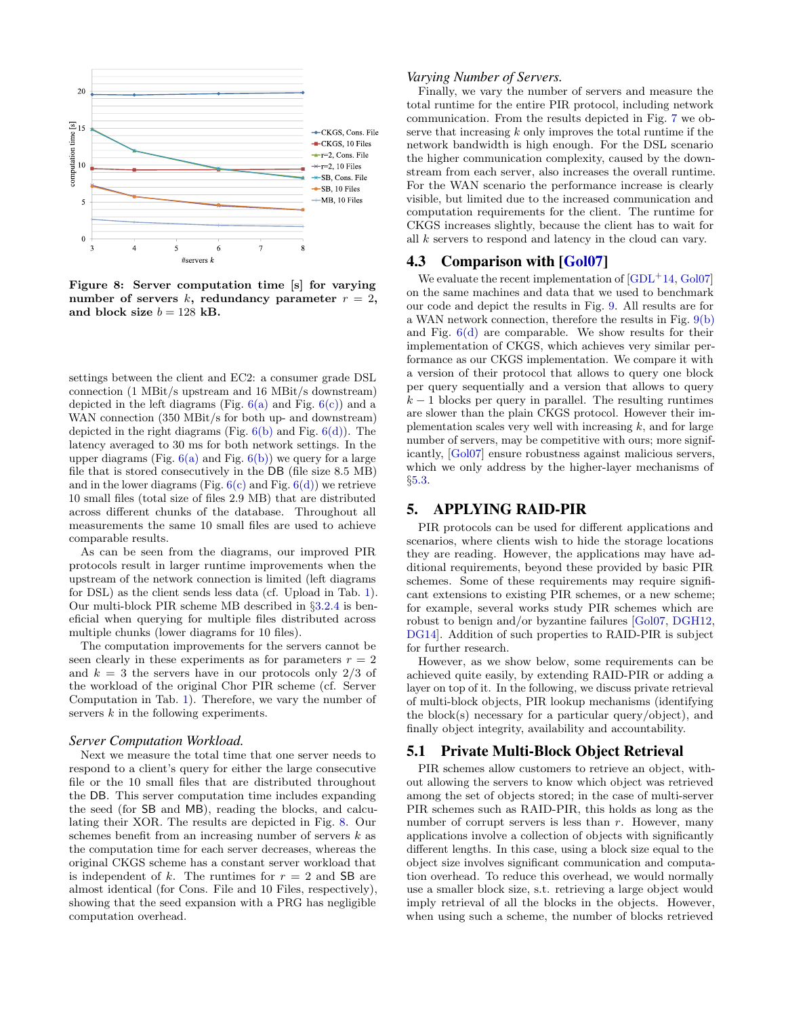<span id="page-6-2"></span>

Figure 8: Server computation time [s] for varying number of servers k, redundancy parameter  $r = 2$ , and block size  $b = 128$  kB.

settings between the client and EC2: a consumer grade DSL connection (1 MBit/s upstream and 16 MBit/s downstream) depicted in the left diagrams (Fig.  $6(a)$  and Fig.  $6(c)$ ) and a WAN connection (350 MBit/s for both up- and downstream) depicted in the right diagrams (Fig.  $6(b)$  and Fig.  $6(d)$ ). The latency averaged to 30 ms for both network settings. In the upper diagrams (Fig.  $6(a)$  and Fig.  $6(b)$ ) we query for a large file that is stored consecutively in the DB (file size 8.5 MB) and in the lower diagrams (Fig.  $6(c)$  and Fig.  $6(d)$ ) we retrieve 10 small files (total size of files 2.9 MB) that are distributed across different chunks of the database. Throughout all measurements the same 10 small files are used to achieve comparable results.

As can be seen from the diagrams, our improved PIR protocols result in larger runtime improvements when the upstream of the network connection is limited (left diagrams for DSL) as the client sends less data (cf. Upload in Tab. [1\)](#page-4-1). Our multi-block PIR scheme MB described in §[3.2.4](#page-3-3) is beneficial when querying for multiple files distributed across multiple chunks (lower diagrams for 10 files).

The computation improvements for the servers cannot be seen clearly in these experiments as for parameters  $r = 2$ and  $k = 3$  the servers have in our protocols only 2/3 of the workload of the original Chor PIR scheme (cf. Server Computation in Tab. [1\)](#page-4-1). Therefore, we vary the number of servers  $k$  in the following experiments.

#### *Server Computation Workload.*

Next we measure the total time that one server needs to respond to a client's query for either the large consecutive file or the 10 small files that are distributed throughout the DB. This server computation time includes expanding the seed (for SB and MB), reading the blocks, and calculating their XOR. The results are depicted in Fig. [8.](#page-6-2) Our schemes benefit from an increasing number of servers  $k$  as the computation time for each server decreases, whereas the original CKGS scheme has a constant server workload that is independent of k. The runtimes for  $r = 2$  and SB are almost identical (for Cons. File and 10 Files, respectively), showing that the seed expansion with a PRG has negligible computation overhead.

#### *Varying Number of Servers.*

Finally, we vary the number of servers and measure the total runtime for the entire PIR protocol, including network communication. From the results depicted in Fig. [7](#page-7-5) we observe that increasing  $k$  only improves the total runtime if the network bandwidth is high enough. For the DSL scenario the higher communication complexity, caused by the downstream from each server, also increases the overall runtime. For the WAN scenario the performance increase is clearly visible, but limited due to the increased communication and computation requirements for the client. The runtime for CKGS increases slightly, because the client has to wait for all k servers to respond and latency in the cloud can vary.

## <span id="page-6-1"></span>4.3 Comparison with [\[Gol07\]](#page-10-8)

We evaluate the recent implementation of  $[GDL<sup>+</sup>14, Gol07]$  $[GDL<sup>+</sup>14, Gol07]$  $[GDL<sup>+</sup>14, Gol07]$ on the same machines and data that we used to benchmark our code and depict the results in Fig. [9.](#page-8-1) All results are for a WAN network connection, therefore the results in Fig. [9\(b\)](#page-8-2) and Fig. [6\(d\)](#page-7-4) are comparable. We show results for their implementation of CKGS, which achieves very similar performance as our CKGS implementation. We compare it with a version of their protocol that allows to query one block per query sequentially and a version that allows to query  $k-1$  blocks per query in parallel. The resulting runtimes are slower than the plain CKGS protocol. However their implementation scales very well with increasing  $k$ , and for large number of servers, may be competitive with ours; more significantly, [\[Gol07\]](#page-10-8) ensure robustness against malicious servers, which we only address by the higher-layer mechanisms of §[5.3.](#page-8-3)

# <span id="page-6-0"></span>5. APPLYING RAID-PIR

PIR protocols can be used for different applications and scenarios, where clients wish to hide the storage locations they are reading. However, the applications may have additional requirements, beyond these provided by basic PIR schemes. Some of these requirements may require significant extensions to existing PIR schemes, or a new scheme; for example, several works study PIR schemes which are robust to benign and/or byzantine failures [\[Gol07,](#page-10-8) [DGH12,](#page-10-6) [DG14\]](#page-10-11). Addition of such properties to RAID-PIR is subject for further research.

However, as we show below, some requirements can be achieved quite easily, by extending RAID-PIR or adding a layer on top of it. In the following, we discuss private retrieval of multi-block objects, PIR lookup mechanisms (identifying the block(s) necessary for a particular query/object), and finally object integrity, availability and accountability.

## 5.1 Private Multi-Block Object Retrieval

PIR schemes allow customers to retrieve an object, without allowing the servers to know which object was retrieved among the set of objects stored; in the case of multi-server PIR schemes such as RAID-PIR, this holds as long as the number of corrupt servers is less than  $r$ . However, many applications involve a collection of objects with significantly different lengths. In this case, using a block size equal to the object size involves significant communication and computation overhead. To reduce this overhead, we would normally use a smaller block size, s.t. retrieving a large object would imply retrieval of all the blocks in the objects. However, when using such a scheme, the number of blocks retrieved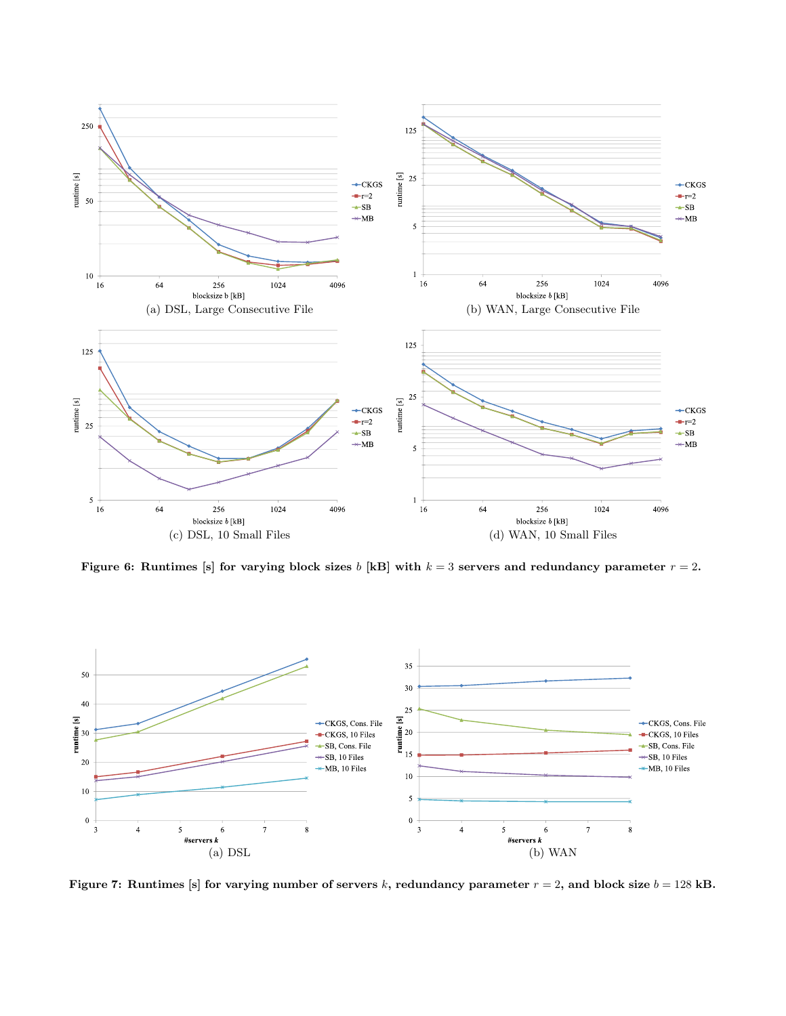<span id="page-7-3"></span><span id="page-7-1"></span><span id="page-7-0"></span>

<span id="page-7-4"></span><span id="page-7-2"></span>Figure 6: Runtimes [s] for varying block sizes b [kB] with  $k = 3$  servers and redundancy parameter  $r = 2$ .

<span id="page-7-5"></span>

Figure 7: Runtimes [s] for varying number of servers k, redundancy parameter  $r = 2$ , and block size  $b = 128$  kB.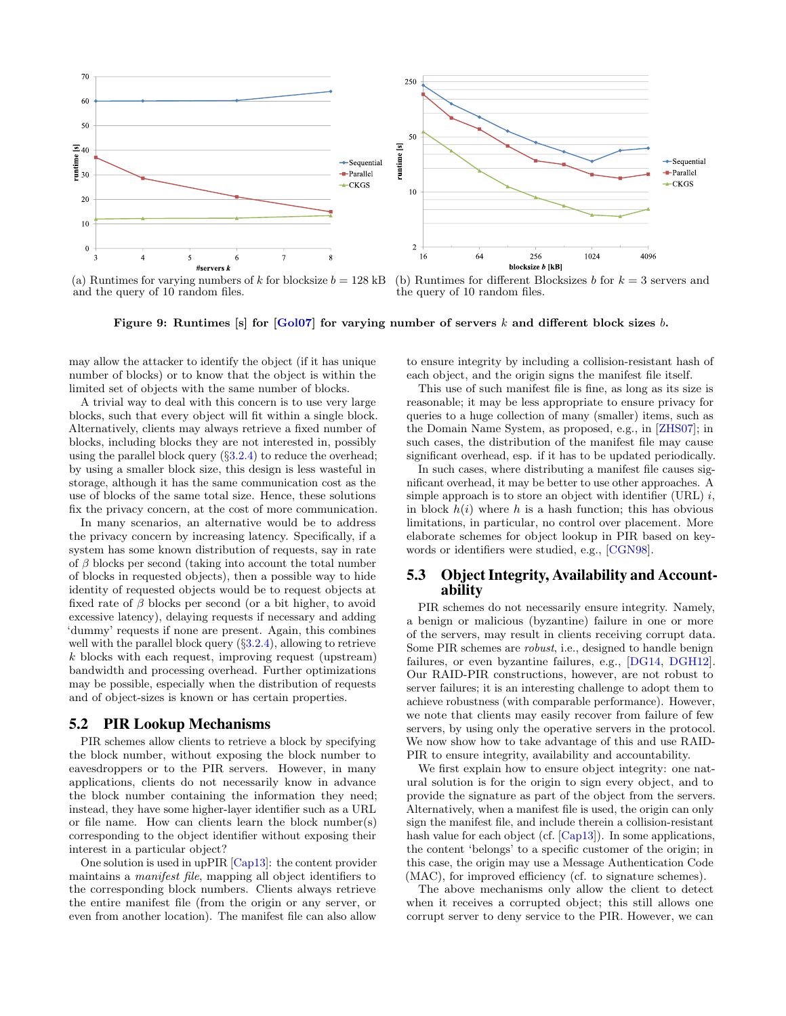<span id="page-8-1"></span>

(a) Runtimes for varying numbers of k for blocksize  $b = 128$  kB and the query of 10 random files.

<span id="page-8-2"></span>(b) Runtimes for different Blocksizes b for  $k = 3$  servers and the query of 10 random files.

Figure 9: Runtimes [s] for [\[Gol07\]](#page-10-8) for varying number of servers k and different block sizes b.

may allow the attacker to identify the object (if it has unique number of blocks) or to know that the object is within the limited set of objects with the same number of blocks.

A trivial way to deal with this concern is to use very large blocks, such that every object will fit within a single block. Alternatively, clients may always retrieve a fixed number of blocks, including blocks they are not interested in, possibly using the parallel block query (§[3.2.4\)](#page-3-3) to reduce the overhead; by using a smaller block size, this design is less wasteful in storage, although it has the same communication cost as the use of blocks of the same total size. Hence, these solutions fix the privacy concern, at the cost of more communication.

In many scenarios, an alternative would be to address the privacy concern by increasing latency. Specifically, if a system has some known distribution of requests, say in rate of  $\beta$  blocks per second (taking into account the total number of blocks in requested objects), then a possible way to hide identity of requested objects would be to request objects at fixed rate of  $\beta$  blocks per second (or a bit higher, to avoid excessive latency), delaying requests if necessary and adding 'dummy' requests if none are present. Again, this combines well with the parallel block query  $(\S 3.2.4)$  $(\S 3.2.4)$ , allowing to retrieve k blocks with each request, improving request (upstream) bandwidth and processing overhead. Further optimizations may be possible, especially when the distribution of requests and of object-sizes is known or has certain properties.

### <span id="page-8-0"></span>5.2 PIR Lookup Mechanisms

PIR schemes allow clients to retrieve a block by specifying the block number, without exposing the block number to eavesdroppers or to the PIR servers. However, in many applications, clients do not necessarily know in advance the block number containing the information they need; instead, they have some higher-layer identifier such as a URL or file name. How can clients learn the block number(s) corresponding to the object identifier without exposing their interest in a particular object?

One solution is used in upPIR [\[Cap13\]](#page-10-0): the content provider maintains a manifest file, mapping all object identifiers to the corresponding block numbers. Clients always retrieve the entire manifest file (from the origin or any server, or even from another location). The manifest file can also allow

to ensure integrity by including a collision-resistant hash of each object, and the origin signs the manifest file itself.

This use of such manifest file is fine, as long as its size is reasonable; it may be less appropriate to ensure privacy for queries to a huge collection of many (smaller) items, such as the Domain Name System, as proposed, e.g., in [\[ZHS07\]](#page-11-4); in such cases, the distribution of the manifest file may cause significant overhead, esp. if it has to be updated periodically.

In such cases, where distributing a manifest file causes significant overhead, it may be better to use other approaches. A simple approach is to store an object with identifier (URL)  $i$ , in block  $h(i)$  where h is a hash function; this has obvious limitations, in particular, no control over placement. More elaborate schemes for object lookup in PIR based on keywords or identifiers were studied, e.g., [\[CGN98\]](#page-10-12).

# <span id="page-8-3"></span>5.3 Object Integrity, Availability and Accountability

PIR schemes do not necessarily ensure integrity. Namely, a benign or malicious (byzantine) failure in one or more of the servers, may result in clients receiving corrupt data. Some PIR schemes are robust, i.e., designed to handle benign failures, or even byzantine failures, e.g., [\[DG14,](#page-10-11) [DGH12\]](#page-10-6). Our RAID-PIR constructions, however, are not robust to server failures; it is an interesting challenge to adopt them to achieve robustness (with comparable performance). However, we note that clients may easily recover from failure of few servers, by using only the operative servers in the protocol. We now show how to take advantage of this and use RAID-PIR to ensure integrity, availability and accountability.

We first explain how to ensure object integrity: one natural solution is for the origin to sign every object, and to provide the signature as part of the object from the servers. Alternatively, when a manifest file is used, the origin can only sign the manifest file, and include therein a collision-resistant hash value for each object (cf. [\[Cap13\]](#page-10-0)). In some applications, the content 'belongs' to a specific customer of the origin; in this case, the origin may use a Message Authentication Code (MAC), for improved efficiency (cf. to signature schemes).

The above mechanisms only allow the client to detect when it receives a corrupted object; this still allows one corrupt server to deny service to the PIR. However, we can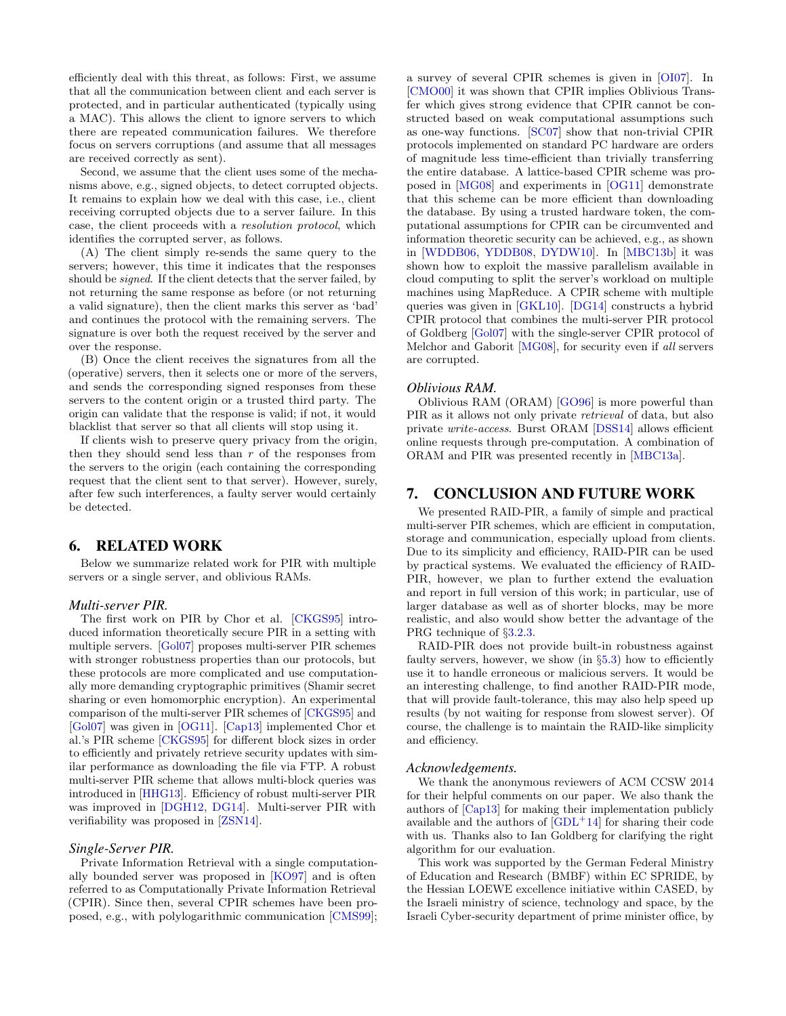efficiently deal with this threat, as follows: First, we assume that all the communication between client and each server is protected, and in particular authenticated (typically using a MAC). This allows the client to ignore servers to which there are repeated communication failures. We therefore focus on servers corruptions (and assume that all messages are received correctly as sent).

Second, we assume that the client uses some of the mechanisms above, e.g., signed objects, to detect corrupted objects. It remains to explain how we deal with this case, i.e., client receiving corrupted objects due to a server failure. In this case, the client proceeds with a resolution protocol, which identifies the corrupted server, as follows.

(A) The client simply re-sends the same query to the servers; however, this time it indicates that the responses should be *signed*. If the client detects that the server failed, by not returning the same response as before (or not returning a valid signature), then the client marks this server as 'bad' and continues the protocol with the remaining servers. The signature is over both the request received by the server and over the response.

(B) Once the client receives the signatures from all the (operative) servers, then it selects one or more of the servers, and sends the corresponding signed responses from these servers to the content origin or a trusted third party. The origin can validate that the response is valid; if not, it would blacklist that server so that all clients will stop using it.

If clients wish to preserve query privacy from the origin, then they should send less than  $r$  of the responses from the servers to the origin (each containing the corresponding request that the client sent to that server). However, surely, after few such interferences, a faulty server would certainly be detected.

## <span id="page-9-0"></span>6. RELATED WORK

Below we summarize related work for PIR with multiple servers or a single server, and oblivious RAMs.

### *Multi-server PIR.*

The first work on PIR by Chor et al. [\[CKGS95\]](#page-10-5) introduced information theoretically secure PIR in a setting with multiple servers. [\[Gol07\]](#page-10-8) proposes multi-server PIR schemes with stronger robustness properties than our protocols, but these protocols are more complicated and use computationally more demanding cryptographic primitives (Shamir secret sharing or even homomorphic encryption). An experimental comparison of the multi-server PIR schemes of [\[CKGS95\]](#page-10-5) and [\[Gol07\]](#page-10-8) was given in [\[OG11\]](#page-10-7). [\[Cap13\]](#page-10-0) implemented Chor et al.'s PIR scheme [\[CKGS95\]](#page-10-5) for different block sizes in order to efficiently and privately retrieve security updates with similar performance as downloading the file via FTP. A robust multi-server PIR scheme that allows multi-block queries was introduced in [\[HHG13\]](#page-10-13). Efficiency of robust multi-server PIR was improved in [\[DGH12,](#page-10-6) [DG14\]](#page-10-11). Multi-server PIR with verifiability was proposed in [\[ZSN14\]](#page-11-5).

#### *Single-Server PIR.*

Private Information Retrieval with a single computationally bounded server was proposed in [\[KO97\]](#page-10-14) and is often referred to as Computationally Private Information Retrieval (CPIR). Since then, several CPIR schemes have been proposed, e.g., with polylogarithmic communication [\[CMS99\]](#page-10-15); a survey of several CPIR schemes is given in [\[OI07\]](#page-11-6). In [\[CMO00\]](#page-10-16) it was shown that CPIR implies Oblivious Transfer which gives strong evidence that CPIR cannot be constructed based on weak computational assumptions such as one-way functions. [\[SC07\]](#page-11-7) show that non-trivial CPIR protocols implemented on standard PC hardware are orders of magnitude less time-efficient than trivially transferring the entire database. A lattice-based CPIR scheme was proposed in [\[MG08\]](#page-10-17) and experiments in [\[OG11\]](#page-10-7) demonstrate that this scheme can be more efficient than downloading the database. By using a trusted hardware token, the computational assumptions for CPIR can be circumvented and information theoretic security can be achieved, e.g., as shown in [\[WDDB06,](#page-11-8) [YDDB08,](#page-11-9) [DYDW10\]](#page-10-18). In [\[MBC13b\]](#page-10-19) it was shown how to exploit the massive parallelism available in cloud computing to split the server's workload on multiple machines using MapReduce. A CPIR scheme with multiple queries was given in [\[GKL10\]](#page-10-20). [\[DG14\]](#page-10-11) constructs a hybrid CPIR protocol that combines the multi-server PIR protocol of Goldberg [\[Gol07\]](#page-10-8) with the single-server CPIR protocol of Melchor and Gaborit [\[MG08\]](#page-10-17), for security even if all servers are corrupted.

#### *Oblivious RAM.*

Oblivious RAM (ORAM) [\[GO96\]](#page-10-21) is more powerful than PIR as it allows not only private retrieval of data, but also private write-access. Burst ORAM [\[DSS14\]](#page-10-22) allows efficient online requests through pre-computation. A combination of ORAM and PIR was presented recently in [\[MBC13a\]](#page-10-23).

# <span id="page-9-1"></span>7. CONCLUSION AND FUTURE WORK

We presented RAID-PIR, a family of simple and practical multi-server PIR schemes, which are efficient in computation, storage and communication, especially upload from clients. Due to its simplicity and efficiency, RAID-PIR can be used by practical systems. We evaluated the efficiency of RAID-PIR, however, we plan to further extend the evaluation and report in full version of this work; in particular, use of larger database as well as of shorter blocks, may be more realistic, and also would show better the advantage of the PRG technique of §[3.2.3.](#page-2-3)

RAID-PIR does not provide built-in robustness against faulty servers, however, we show (in  $\S5.3$ ) how to efficiently use it to handle erroneous or malicious servers. It would be an interesting challenge, to find another RAID-PIR mode, that will provide fault-tolerance, this may also help speed up results (by not waiting for response from slowest server). Of course, the challenge is to maintain the RAID-like simplicity and efficiency.

#### *Acknowledgements.*

We thank the anonymous reviewers of ACM CCSW 2014 for their helpful comments on our paper. We also thank the authors of [\[Cap13\]](#page-10-0) for making their implementation publicly available and the authors of  $[GDL+14]$  $[GDL+14]$  for sharing their code with us. Thanks also to Ian Goldberg for clarifying the right algorithm for our evaluation.

This work was supported by the German Federal Ministry of Education and Research (BMBF) within EC SPRIDE, by the Hessian LOEWE excellence initiative within CASED, by the Israeli ministry of science, technology and space, by the Israeli Cyber-security department of prime minister office, by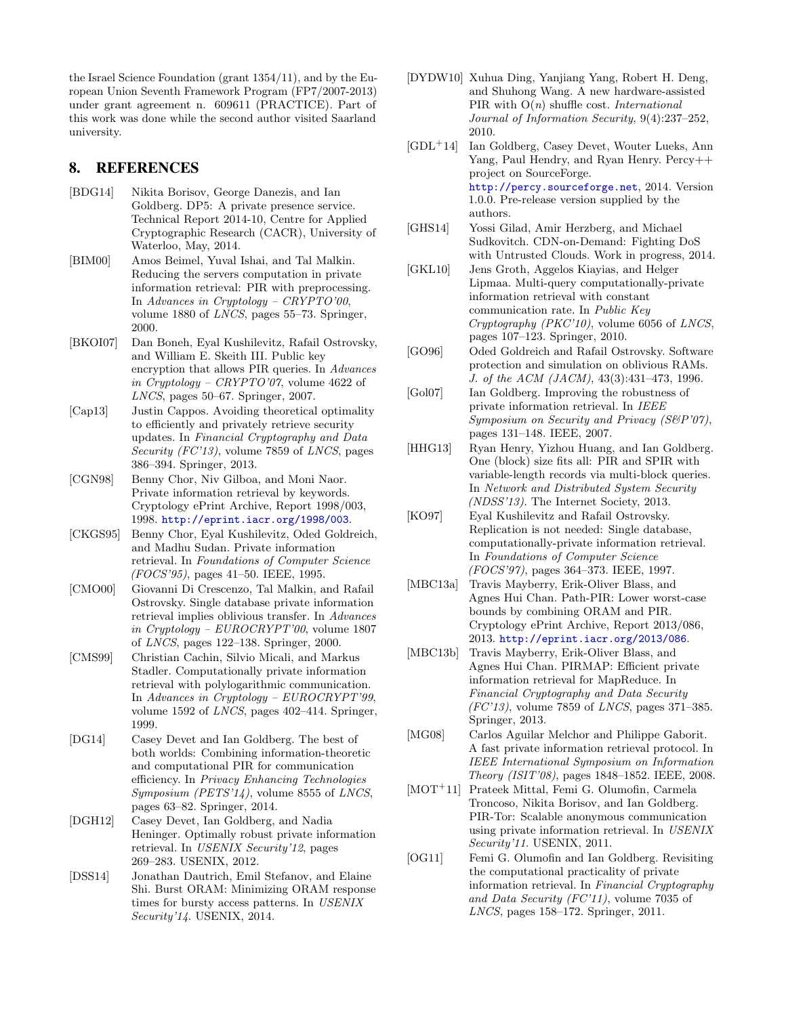the Israel Science Foundation (grant 1354/11), and by the European Union Seventh Framework Program (FP7/2007-2013) under grant agreement n. 609611 (PRACTICE). Part of this work was done while the second author visited Saarland university.

# 8. REFERENCES

- <span id="page-10-3"></span>[BDG14] Nikita Borisov, George Danezis, and Ian Goldberg. DP5: A private presence service. Technical Report 2014-10, Centre for Applied Cryptographic Research (CACR), University of Waterloo, May, 2014.
- <span id="page-10-9"></span>[BIM00] Amos Beimel, Yuval Ishai, and Tal Malkin. Reducing the servers computation in private information retrieval: PIR with preprocessing. In Advances in Cryptology – CRYPTO'00, volume 1880 of LNCS, pages 55–73. Springer, 2000.
- <span id="page-10-1"></span>[BKOI07] Dan Boneh, Eyal Kushilevitz, Rafail Ostrovsky, and William E. Skeith III. Public key encryption that allows PIR queries. In Advances in Cryptology – CRYPTO'07, volume 4622 of LNCS, pages 50–67. Springer, 2007.
- <span id="page-10-0"></span>[Cap13] Justin Cappos. Avoiding theoretical optimality to efficiently and privately retrieve security updates. In Financial Cryptography and Data Security (FC'13), volume 7859 of LNCS, pages 386–394. Springer, 2013.
- <span id="page-10-12"></span>[CGN98] Benny Chor, Niv Gilboa, and Moni Naor. Private information retrieval by keywords. Cryptology ePrint Archive, Report 1998/003, 1998. <http://eprint.iacr.org/1998/003>.
- <span id="page-10-5"></span>[CKGS95] Benny Chor, Eyal Kushilevitz, Oded Goldreich, and Madhu Sudan. Private information retrieval. In Foundations of Computer Science (FOCS'95), pages 41–50. IEEE, 1995.
- <span id="page-10-16"></span>[CMO00] Giovanni Di Crescenzo, Tal Malkin, and Rafail Ostrovsky. Single database private information retrieval implies oblivious transfer. In Advances in Cryptology – EUROCRYPT'00, volume 1807 of LNCS, pages 122–138. Springer, 2000.
- <span id="page-10-15"></span>[CMS99] Christian Cachin, Silvio Micali, and Markus Stadler. Computationally private information retrieval with polylogarithmic communication. In Advances in Cryptology – EUROCRYPT'99, volume 1592 of LNCS, pages 402–414. Springer, 1999.
- <span id="page-10-11"></span>[DG14] Casey Devet and Ian Goldberg. The best of both worlds: Combining information-theoretic and computational PIR for communication efficiency. In Privacy Enhancing Technologies Symposium (PETS'14), volume 8555 of LNCS, pages 63–82. Springer, 2014.
- <span id="page-10-6"></span>[DGH12] Casey Devet, Ian Goldberg, and Nadia Heninger. Optimally robust private information retrieval. In USENIX Security'12, pages 269–283. USENIX, 2012.
- <span id="page-10-22"></span>[DSS14] Jonathan Dautrich, Emil Stefanov, and Elaine Shi. Burst ORAM: Minimizing ORAM response times for bursty access patterns. In USENIX Security'14. USENIX, 2014.
- <span id="page-10-18"></span>[DYDW10] Xuhua Ding, Yanjiang Yang, Robert H. Deng, and Shuhong Wang. A new hardware-assisted PIR with  $O(n)$  shuffle cost. *International* Journal of Information Security, 9(4):237–252, 2010.
- <span id="page-10-10"></span>[GDL<sup>+</sup>14] Ian Goldberg, Casey Devet, Wouter Lueks, Ann Yang, Paul Hendry, and Ryan Henry. Percy++ project on SourceForge. <http://percy.sourceforge.net>, 2014. Version 1.0.0. Pre-release version supplied by the authors.
- <span id="page-10-4"></span>[GHS14] Yossi Gilad, Amir Herzberg, and Michael Sudkovitch. CDN-on-Demand: Fighting DoS with Untrusted Clouds. Work in progress, 2014.
- <span id="page-10-20"></span>[GKL10] Jens Groth, Aggelos Kiayias, and Helger Lipmaa. Multi-query computationally-private information retrieval with constant communication rate. In Public Key Cryptography (PKC'10), volume 6056 of LNCS, pages 107–123. Springer, 2010.
- <span id="page-10-21"></span>[GO96] Oded Goldreich and Rafail Ostrovsky. Software protection and simulation on oblivious RAMs. J. of the ACM (JACM), 43(3):431–473, 1996.
- <span id="page-10-8"></span>[Gol07] Ian Goldberg. Improving the robustness of private information retrieval. In IEEE Symposium on Security and Privacy (S&P'07), pages 131–148. IEEE, 2007.
- <span id="page-10-13"></span>[HHG13] Ryan Henry, Yizhou Huang, and Ian Goldberg. One (block) size fits all: PIR and SPIR with variable-length records via multi-block queries. In Network and Distributed System Security (NDSS'13). The Internet Society, 2013.
- <span id="page-10-14"></span>[KO97] Eyal Kushilevitz and Rafail Ostrovsky. Replication is not needed: Single database, computationally-private information retrieval. In Foundations of Computer Science (FOCS'97), pages 364–373. IEEE, 1997.
- <span id="page-10-23"></span>[MBC13a] Travis Mayberry, Erik-Oliver Blass, and Agnes Hui Chan. Path-PIR: Lower worst-case bounds by combining ORAM and PIR. Cryptology ePrint Archive, Report 2013/086, 2013. <http://eprint.iacr.org/2013/086>.
- <span id="page-10-19"></span>[MBC13b] Travis Mayberry, Erik-Oliver Blass, and Agnes Hui Chan. PIRMAP: Efficient private information retrieval for MapReduce. In Financial Cryptography and Data Security  $(FC'13)$ , volume 7859 of *LNCS*, pages 371–385. Springer, 2013.
- <span id="page-10-17"></span>[MG08] Carlos Aguilar Melchor and Philippe Gaborit. A fast private information retrieval protocol. In IEEE International Symposium on Information Theory (ISIT'08), pages 1848–1852. IEEE, 2008.
- <span id="page-10-2"></span>[MOT<sup>+</sup>11] Prateek Mittal, Femi G. Olumofin, Carmela Troncoso, Nikita Borisov, and Ian Goldberg. PIR-Tor: Scalable anonymous communication using private information retrieval. In USENIX Security'11. USENIX, 2011.
- <span id="page-10-7"></span>[OG11] Femi G. Olumofin and Ian Goldberg. Revisiting the computational practicality of private information retrieval. In Financial Cryptography and Data Security (FC'11), volume 7035 of LNCS, pages 158–172. Springer, 2011.